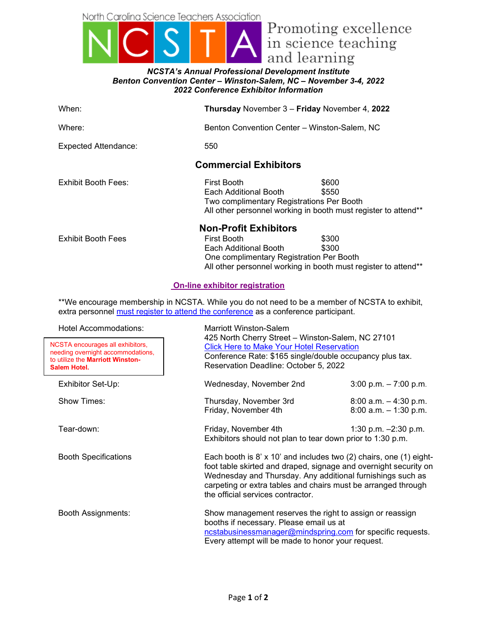North Carolina Science Teachers Association



## *NCSTA's Annual Professional Development Institute Benton Convention Center – Winston-Salem, NC – November 3-4, 2022 2022 Conference Exhibitor Information*

| When:                                                                                                                                                                                | Thursday November 3 - Friday November 4, 2022                                                                                                                                                                                                                                                              |  |  |
|--------------------------------------------------------------------------------------------------------------------------------------------------------------------------------------|------------------------------------------------------------------------------------------------------------------------------------------------------------------------------------------------------------------------------------------------------------------------------------------------------------|--|--|
| Where:                                                                                                                                                                               | Benton Convention Center - Winston-Salem, NC                                                                                                                                                                                                                                                               |  |  |
| <b>Expected Attendance:</b>                                                                                                                                                          | 550                                                                                                                                                                                                                                                                                                        |  |  |
| <b>Commercial Exhibitors</b>                                                                                                                                                         |                                                                                                                                                                                                                                                                                                            |  |  |
| <b>Exhibit Booth Fees:</b>                                                                                                                                                           | <b>First Booth</b><br>\$600<br>\$550<br>Each Additional Booth<br>Two complimentary Registrations Per Booth<br>All other personnel working in booth must register to attend**                                                                                                                               |  |  |
| <b>Exhibit Booth Fees</b>                                                                                                                                                            | <b>Non-Profit Exhibitors</b><br><b>First Booth</b><br>\$300<br>\$300<br>Each Additional Booth<br>One complimentary Registration Per Booth<br>All other personnel working in booth must register to attend**                                                                                                |  |  |
| <b>On-line exhibitor registration</b>                                                                                                                                                |                                                                                                                                                                                                                                                                                                            |  |  |
| **We encourage membership in NCSTA. While you do not need to be a member of NCSTA to exhibit,<br>extra personnel must register to attend the conference as a conference participant. |                                                                                                                                                                                                                                                                                                            |  |  |
| <b>Hotel Accommodations:</b><br>NCSTA encourages all exhibitors,<br>needing overnight accommodations,<br>to utilize the Marriott Winston-<br>Salem Hotel.                            | <b>Marriott Winston-Salem</b><br>425 North Cherry Street - Winston-Salem, NC 27101<br><b>Click Here to Make Your Hotel Reservation</b><br>Conference Rate: \$165 single/double occupancy plus tax.<br>Reservation Deadline: October 5, 2022                                                                |  |  |
| Exhibitor Set-Up:                                                                                                                                                                    | Wednesday, November 2nd<br>$3:00$ p.m. $-7:00$ p.m.                                                                                                                                                                                                                                                        |  |  |
| Show Times:                                                                                                                                                                          | Thursday, November 3rd<br>$8:00$ a.m. $-4:30$ p.m.<br>Friday, November 4th<br>$8:00$ a.m. $-1:30$ p.m.                                                                                                                                                                                                     |  |  |
| Tear-down:                                                                                                                                                                           | Friday, November 4th<br>1:30 p.m. $-2:30$ p.m.<br>Exhibitors should not plan to tear down prior to 1:30 p.m.                                                                                                                                                                                               |  |  |
| <b>Booth Specifications</b>                                                                                                                                                          | Each booth is 8' x 10' and includes two (2) chairs, one (1) eight-<br>foot table skirted and draped, signage and overnight security on<br>Wednesday and Thursday. Any additional furnishings such as<br>carpeting or extra tables and chairs must be arranged through<br>the official services contractor. |  |  |
| <b>Booth Assignments:</b>                                                                                                                                                            | Show management reserves the right to assign or reassign<br>booths if necessary. Please email us at<br>ncstabusinessmanager@mindspring.com for specific requests.<br>Every attempt will be made to honor your request.                                                                                     |  |  |